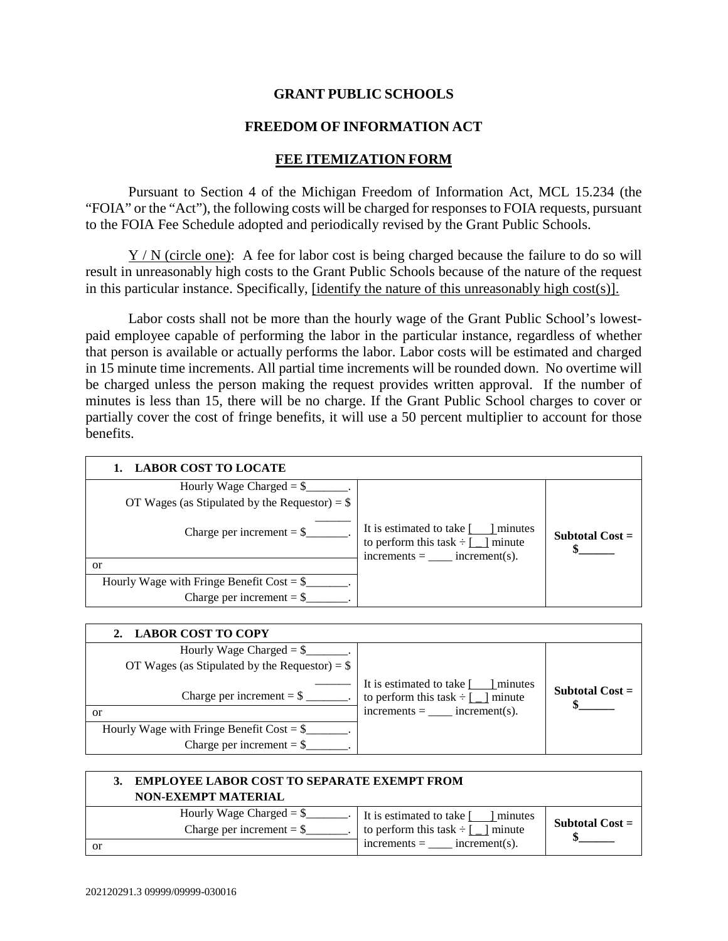## **GRANT PUBLIC SCHOOLS**

## **FREEDOM OF INFORMATION ACT**

## **FEE ITEMIZATION FORM**

Pursuant to Section 4 of the Michigan Freedom of Information Act, MCL 15.234 (the "FOIA" or the "Act"), the following costs will be charged for responses to FOIA requests, pursuant to the FOIA Fee Schedule adopted and periodically revised by the Grant Public Schools.

Y / N (circle one): A fee for labor cost is being charged because the failure to do so will result in unreasonably high costs to the Grant Public Schools because of the nature of the request in this particular instance. Specifically, [identify the nature of this unreasonably high cost(s)].

Labor costs shall not be more than the hourly wage of the Grant Public School's lowestpaid employee capable of performing the labor in the particular instance, regardless of whether that person is available or actually performs the labor. Labor costs will be estimated and charged in 15 minute time increments. All partial time increments will be rounded down. No overtime will be charged unless the person making the request provides written approval. If the number of minutes is less than 15, there will be no charge. If the Grant Public School charges to cover or partially cover the cost of fringe benefits, it will use a 50 percent multiplier to account for those benefits.

| <b>LABOR COST TO LOCATE</b>                          |                                                                                                                                                      |                   |
|------------------------------------------------------|------------------------------------------------------------------------------------------------------------------------------------------------------|-------------------|
| Hourly Wage Charged = $\frac{1}{2}$                  |                                                                                                                                                      |                   |
| OT Wages (as Stipulated by the Requestor) = $$$      |                                                                                                                                                      |                   |
| Charge per increment $=$ \$                          | It is estimated to take $\lceil \cdot \cdot \rceil$ minutes<br>to perform this task $\div$ [ ] minute<br>$\text{increments} = \_\_\_\$ increment(s). | Subtotal $Cost =$ |
| or                                                   |                                                                                                                                                      |                   |
| Hourly Wage with Fringe Benefit Cost = $\frac{1}{2}$ |                                                                                                                                                      |                   |
| Charge per increment = $\$                           |                                                                                                                                                      |                   |

| <b>LABOR COST TO COPY</b>                        |                                                                                 |                   |
|--------------------------------------------------|---------------------------------------------------------------------------------|-------------------|
| Hourly Wage Charged $=$ \$                       |                                                                                 |                   |
| OT Wages (as Stipulated by the Requestor) = $\$  |                                                                                 |                   |
| Charge per increment = $\frac{1}{2}$ __________. | It is estimated to take [ ] minutes<br>to perform this task $\div$ [ _ ] minute | Subtotal $Cost =$ |
| or                                               | $increments = \n    increment(s).$                                              |                   |
| Hourly Wage with Fringe Benefit Cost = $\S$      |                                                                                 |                   |
|                                                  |                                                                                 |                   |

| <b>EMPLOYEE LABOR COST TO SEPARATE EXEMPT FROM</b><br><b>NON-EXEMPT MATERIAL</b> |                                                                               |                   |
|----------------------------------------------------------------------------------|-------------------------------------------------------------------------------|-------------------|
| Hourly Wage Charged $=$ \$<br>Charge per increment $=$ \$                        | It is estimated to take [ ] minutes<br>to perform this task $\div$ [ ] minute | Subtotal $Cost =$ |
| <b>or</b>                                                                        | $increments =$ $increment(s)$ .                                               |                   |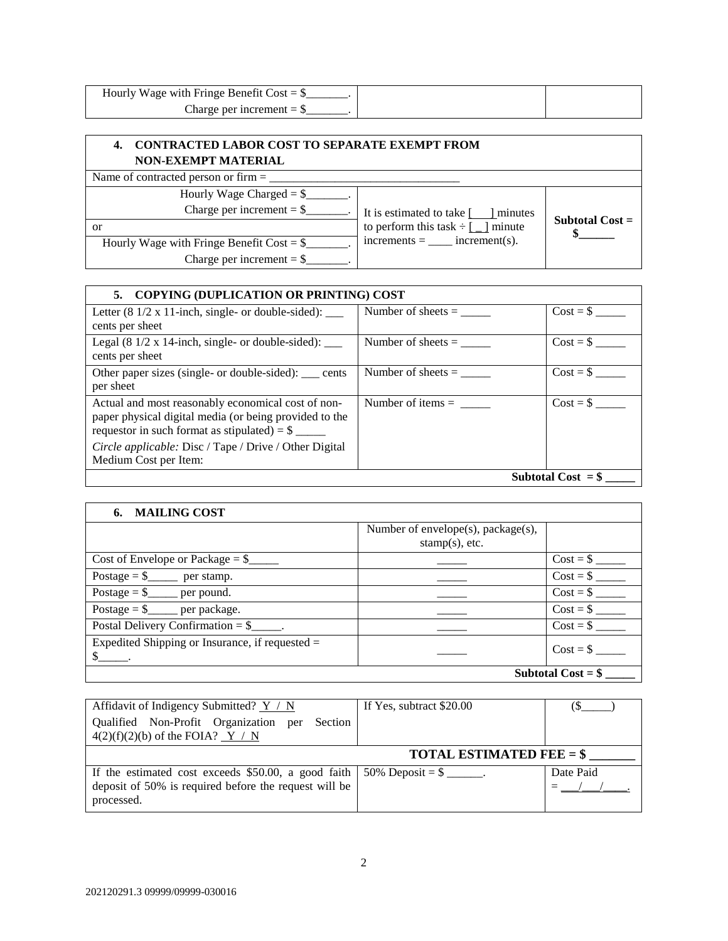| Hourly Wage with Fringe Benefit Cost = $\frac{1}{2}$ |  |
|------------------------------------------------------|--|
| Charge per increment $=$ \$                          |  |

## **4. CONTRACTED LABOR COST TO SEPARATE EXEMPT FROM NON-EXEMPT MATERIAL**

Name of contracted person or firm = \_\_\_\_\_\_\_\_\_\_\_\_\_\_\_\_\_\_\_\_\_\_\_\_\_\_\_\_\_\_\_\_

| Hourly Wage Charged $=$ \$<br>Charge per increment $=$ \$ |                                          | It is estimated to take [ ] minutes |  |
|-----------------------------------------------------------|------------------------------------------|-------------------------------------|--|
| or                                                        | to perform this task $\div$ [ _ ] minute | Subtotal $Cost =$                   |  |
| Hourly Wage with Fringe Benefit Cost = $\$                | $increments =$ $increment(s)$ .          |                                     |  |
| Charge per increment $=$ \$                               |                                          |                                     |  |
|                                                           |                                          |                                     |  |

| 5. COPYING (DUPLICATION OR PRINTING) COST                                                                                                                               |                      |            |
|-------------------------------------------------------------------------------------------------------------------------------------------------------------------------|----------------------|------------|
| Letter $(8\frac{1}{2} \times 11$ -inch, single- or double-sided): ___<br>cents per sheet                                                                                | Number of sheets $=$ | $Cost = $$ |
|                                                                                                                                                                         |                      |            |
| Legal $(8\frac{1}{2} \times 14$ -inch, single- or double-sided): ____<br>cents per sheet                                                                                | Number of sheets $=$ | $Cost = $$ |
| Other paper sizes (single- or double-sided): ____ cents<br>per sheet                                                                                                    | Number of sheets $=$ | $Cost = $$ |
| Actual and most reasonably economical cost of non-<br>paper physical digital media (or being provided to the<br>requestor in such format as stipulated) = $\frac{1}{2}$ |                      | $Cost = $$ |
| Circle applicable: Disc / Tape / Drive / Other Digital<br>Medium Cost per Item:                                                                                         |                      |            |
| Subtotal Cost $=$ \$                                                                                                                                                    |                      |            |

| 6. MAILING COST                                                                                       |                                                         |            |
|-------------------------------------------------------------------------------------------------------|---------------------------------------------------------|------------|
|                                                                                                       | Number of envelope(s), package(s),<br>$stamp(s)$ , etc. |            |
| Cost of Envelope or Package $=$ \$                                                                    |                                                         | $Cost = $$ |
| Postage $=$ \$_____ per stamp.                                                                        |                                                         |            |
| Postage $=$ \$_____ per pound.                                                                        |                                                         | $Cost = $$ |
| Postage = $\frac{1}{2}$ per package.                                                                  |                                                         | $Cost = $$ |
| Postal Delivery Confirmation $=$ \$                                                                   |                                                         | $Cost = $$ |
| Expedited Shipping or Insurance, if requested $=$<br>$\frac{\S_{\frac{1}{2}}}{\S_{\frac{1}{2}}}\cdot$ |                                                         | $Cost = $$ |
| Subtotal $Cost = $$                                                                                   |                                                         |            |

| Affidavit of Indigency Submitted? $Y / N$                                              | If Yes, subtract \$20.00                              |           |
|----------------------------------------------------------------------------------------|-------------------------------------------------------|-----------|
| Qualified Non-Profit Organization per Section<br>$4(2)(f)(2)(b)$ of the FOIA? Y / N    |                                                       |           |
|                                                                                        | <b>TOTAL ESTIMATED FEE = <math>\frac{6}{5}</math></b> |           |
| If the estimated cost exceeds \$50.00, a good faith $\frac{150\%}{200\%}$ Deposit = \$ |                                                       | Date Paid |
| deposit of 50% is required before the request will be<br>processed.                    |                                                       |           |